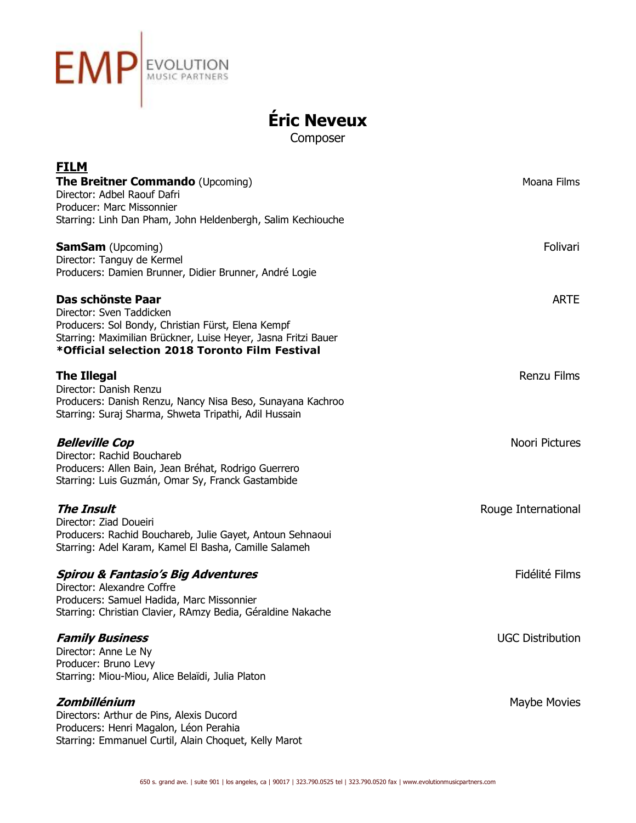

**Éric Neveux**

Composer

| <b>FILM</b>                                                                              |                         |
|------------------------------------------------------------------------------------------|-------------------------|
| <b>The Breitner Commando</b> (Upcoming)                                                  | Moana Films             |
| Director: Adbel Raouf Dafri                                                              |                         |
| Producer: Marc Missonnier<br>Starring: Linh Dan Pham, John Heldenbergh, Salim Kechiouche |                         |
|                                                                                          |                         |
| <b>SamSam</b> (Upcoming)                                                                 | Folivari                |
| Director: Tanguy de Kermel                                                               |                         |
| Producers: Damien Brunner, Didier Brunner, André Logie                                   |                         |
| Das schönste Paar                                                                        | <b>ARTE</b>             |
| Director: Sven Taddicken                                                                 |                         |
| Producers: Sol Bondy, Christian Fürst, Elena Kempf                                       |                         |
| Starring: Maximilian Brückner, Luise Heyer, Jasna Fritzi Bauer                           |                         |
| *Official selection 2018 Toronto Film Festival                                           |                         |
| <b>The Illegal</b>                                                                       | <b>Renzu Films</b>      |
| Director: Danish Renzu                                                                   |                         |
| Producers: Danish Renzu, Nancy Nisa Beso, Sunayana Kachroo                               |                         |
| Starring: Suraj Sharma, Shweta Tripathi, Adil Hussain                                    |                         |
| <b>Belleville Cop</b>                                                                    | Noori Pictures          |
| Director: Rachid Bouchareb                                                               |                         |
| Producers: Allen Bain, Jean Bréhat, Rodrigo Guerrero                                     |                         |
| Starring: Luis Guzmán, Omar Sy, Franck Gastambide                                        |                         |
| <b>The Insult</b>                                                                        | Rouge International     |
| Director: Ziad Doueiri                                                                   |                         |
| Producers: Rachid Bouchareb, Julie Gayet, Antoun Sehnaoui                                |                         |
| Starring: Adel Karam, Kamel El Basha, Camille Salameh                                    |                         |
| <b>Spirou &amp; Fantasio's Big Adventures</b>                                            | Fidélité Films          |
| Director: Alexandre Coffre                                                               |                         |
| Producers: Samuel Hadida, Marc Missonnier                                                |                         |
| Starring: Christian Clavier, RAmzy Bedia, Géraldine Nakache                              |                         |
| <b>Family Business</b>                                                                   | <b>UGC Distribution</b> |
| Director: Anne Le Ny                                                                     |                         |
| Producer: Bruno Levy                                                                     |                         |
| Starring: Miou-Miou, Alice Belaïdi, Julia Platon                                         |                         |
| Zombillénium                                                                             | Maybe Movies            |
| Directors: Arthur de Pins, Alexis Ducord                                                 |                         |
| Producers: Henri Magalon, Léon Perahia                                                   |                         |
| Starring: Emmanuel Curtil, Alain Choquet, Kelly Marot                                    |                         |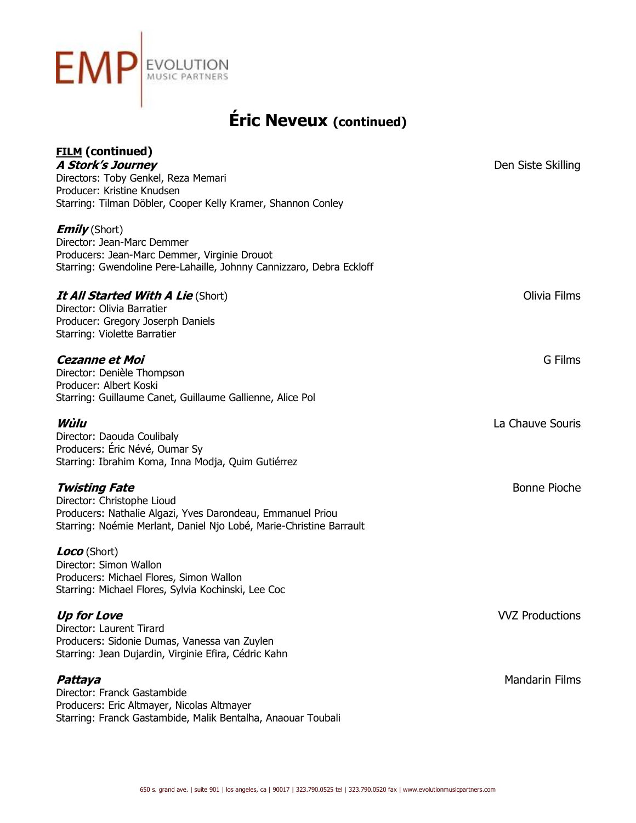

| <b>FILM</b> (continued)                                                                                                           |                       |
|-----------------------------------------------------------------------------------------------------------------------------------|-----------------------|
| <b>A Stork's Journey</b><br>Directors: Toby Genkel, Reza Memari                                                                   | Den Siste Skilling    |
| Producer: Kristine Knudsen                                                                                                        |                       |
| Starring: Tilman Döbler, Cooper Kelly Kramer, Shannon Conley                                                                      |                       |
| <b>Emily</b> (Short)                                                                                                              |                       |
| Director: Jean-Marc Demmer                                                                                                        |                       |
| Producers: Jean-Marc Demmer, Virginie Drouot                                                                                      |                       |
| Starring: Gwendoline Pere-Lahaille, Johnny Cannizzaro, Debra Eckloff                                                              |                       |
| <b>It All Started With A Lie (Short)</b>                                                                                          | Olivia Films          |
| Director: Olivia Barratier                                                                                                        |                       |
| Producer: Gregory Joserph Daniels                                                                                                 |                       |
| Starring: Violette Barratier                                                                                                      |                       |
| <b>Cezanne et Moi</b>                                                                                                             | G Films               |
| Director: Denièle Thompson                                                                                                        |                       |
| Producer: Albert Koski                                                                                                            |                       |
| Starring: Guillaume Canet, Guillaume Gallienne, Alice Pol                                                                         |                       |
| Wùlu                                                                                                                              | La Chauve Souris      |
| Director: Daouda Coulibaly                                                                                                        |                       |
| Producers: Éric Névé, Oumar Sy<br>Starring: Ibrahim Koma, Inna Modja, Quim Gutiérrez                                              |                       |
|                                                                                                                                   |                       |
| <b>Twisting Fate</b>                                                                                                              | Bonne Pioche          |
| Director: Christophe Lioud                                                                                                        |                       |
| Producers: Nathalie Algazi, Yves Darondeau, Emmanuel Priou<br>Starring: Noémie Merlant, Daniel Njo Lobé, Marie-Christine Barrault |                       |
|                                                                                                                                   |                       |
| Loco (Short)                                                                                                                      |                       |
| Director: Simon Wallon                                                                                                            |                       |
| Producers: Michael Flores, Simon Wallon<br>Starring: Michael Flores, Sylvia Kochinski, Lee Coc                                    |                       |
|                                                                                                                                   |                       |
| <b>Up for Love</b>                                                                                                                | <b>WZ Productions</b> |
| Director: Laurent Tirard                                                                                                          |                       |
| Producers: Sidonie Dumas, Vanessa van Zuylen<br>Starring: Jean Dujardin, Virginie Efira, Cédric Kahn                              |                       |
|                                                                                                                                   |                       |
| Pattaya                                                                                                                           | <b>Mandarin Films</b> |
| Director: Franck Gastambide<br>Producers: Eric Altmayer, Nicolas Altmayer                                                         |                       |
| Starring: Franck Gastambide, Malik Bentalha, Anaouar Toubali                                                                      |                       |
|                                                                                                                                   |                       |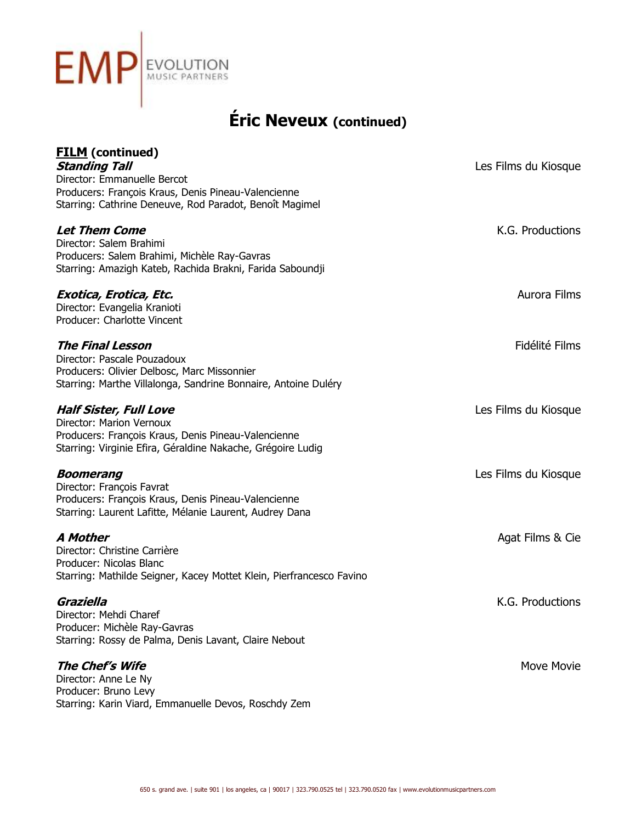

| <b>FILM</b> (continued)<br><b>Standing Tall</b><br>Director: Emmanuelle Bercot<br>Producers: François Kraus, Denis Pineau-Valencienne<br>Starring: Cathrine Deneuve, Rod Paradot, Benoît Magimel | Les Films du Kiosque |
|--------------------------------------------------------------------------------------------------------------------------------------------------------------------------------------------------|----------------------|
| Let Them Come<br>Director: Salem Brahimi<br>Producers: Salem Brahimi, Michèle Ray-Gavras<br>Starring: Amazigh Kateb, Rachida Brakni, Farida Saboundji                                            | K.G. Productions     |
| Exotica, Erotica, Etc.<br>Director: Evangelia Kranioti<br>Producer: Charlotte Vincent                                                                                                            | Aurora Films         |
| <b>The Final Lesson</b><br>Director: Pascale Pouzadoux<br>Producers: Olivier Delbosc, Marc Missonnier<br>Starring: Marthe Villalonga, Sandrine Bonnaire, Antoine Duléry                          | Fidélité Films       |
| <b>Half Sister, Full Love</b><br>Director: Marion Vernoux<br>Producers: François Kraus, Denis Pineau-Valencienne<br>Starring: Virginie Efira, Géraldine Nakache, Grégoire Ludig                  | Les Films du Kiosque |
| <b>Boomerang</b><br>Director: François Favrat<br>Producers: François Kraus, Denis Pineau-Valencienne<br>Starring: Laurent Lafitte, Mélanie Laurent, Audrey Dana                                  | Les Films du Kiosque |
| A Mother<br>Director: Christine Carrière<br>Producer: Nicolas Blanc<br>Starring: Mathilde Seigner, Kacey Mottet Klein, Pierfrancesco Favino                                                      | Agat Films & Cie     |
| Graziella<br>Director: Mehdi Charef<br>Producer: Michèle Ray-Gavras<br>Starring: Rossy de Palma, Denis Lavant, Claire Nebout                                                                     | K.G. Productions     |
| <b>The Chef's Wife</b><br>Director: Anne Le Ny<br>Producer: Bruno Levy<br>Starring: Karin Viard, Emmanuelle Devos, Roschdy Zem                                                                   | Move Movie           |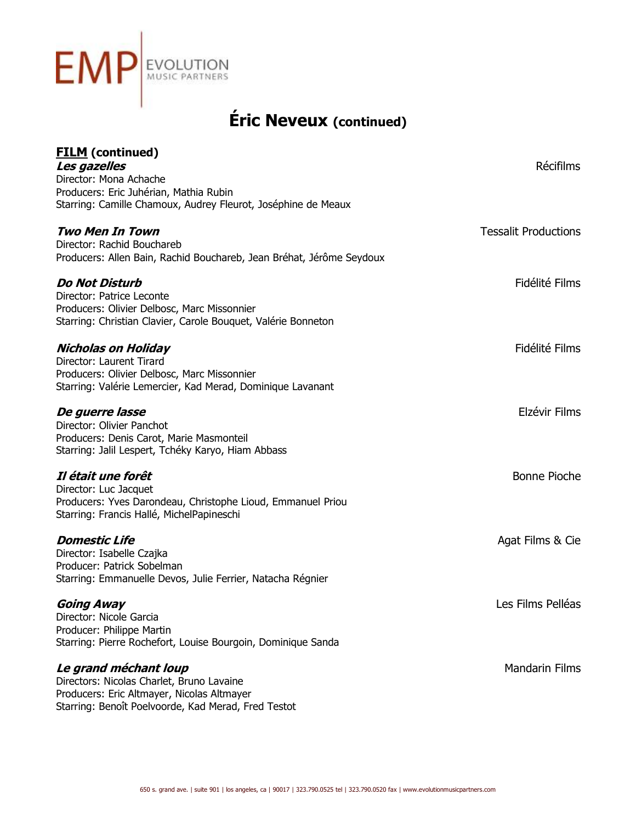

| <b>FILM</b> (continued)<br>Les gazelles<br>Director: Mona Achache<br>Producers: Eric Juhérian, Mathia Rubin<br>Starring: Camille Chamoux, Audrey Fleurot, Joséphine de Meaux | <b>Récifilms</b>            |
|------------------------------------------------------------------------------------------------------------------------------------------------------------------------------|-----------------------------|
| <b>Two Men In Town</b><br>Director: Rachid Bouchareb<br>Producers: Allen Bain, Rachid Bouchareb, Jean Bréhat, Jérôme Seydoux                                                 | <b>Tessalit Productions</b> |
| <b>Do Not Disturb</b><br>Director: Patrice Leconte<br>Producers: Olivier Delbosc, Marc Missonnier<br>Starring: Christian Clavier, Carole Bouquet, Valérie Bonneton           | Fidélité Films              |
| Nicholas on Holiday<br>Director: Laurent Tirard<br>Producers: Olivier Delbosc, Marc Missonnier<br>Starring: Valérie Lemercier, Kad Merad, Dominique Lavanant                 | Fidélité Films              |
| <i>De guerre lasse</i><br>Director: Olivier Panchot<br>Producers: Denis Carot, Marie Masmonteil<br>Starring: Jalil Lespert, Tchéky Karyo, Hiam Abbass                        | Elzévir Films               |
| Il était une forêt<br>Director: Luc Jacquet<br>Producers: Yves Darondeau, Christophe Lioud, Emmanuel Priou<br>Starring: Francis Hallé, MichelPapineschi                      | Bonne Pioche                |
| <b>Domestic Life</b><br>Director: Isabelle Czajka<br>Producer: Patrick Sobelman<br>Starring: Emmanuelle Devos, Julie Ferrier, Natacha Régnier                                | Agat Films & Cie            |
| Going Away<br>Director: Nicole Garcia<br>Producer: Philippe Martin<br>Starring: Pierre Rochefort, Louise Bourgoin, Dominique Sanda                                           | Les Films Pelléas           |
| Le grand méchant loup<br>Directors: Nicolas Charlet, Bruno Lavaine<br>Producers: Eric Altmayer, Nicolas Altmayer<br>Starring: Benoît Poelvoorde, Kad Merad, Fred Testot      | <b>Mandarin Films</b>       |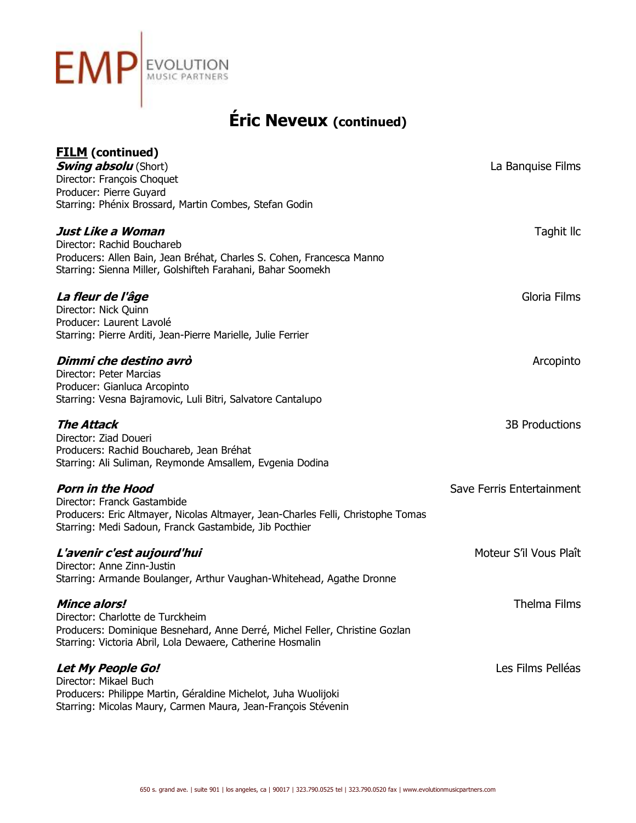

| <b>FILM</b> (continued)                                                          |                           |
|----------------------------------------------------------------------------------|---------------------------|
| <b>Swing absolu</b> (Short)                                                      | La Banquise Films         |
| Director: François Choquet                                                       |                           |
| Producer: Pierre Guyard                                                          |                           |
| Starring: Phénix Brossard, Martin Combes, Stefan Godin                           |                           |
| Just Like a Woman                                                                | Taghit Ilc                |
| Director: Rachid Bouchareb                                                       |                           |
| Producers: Allen Bain, Jean Bréhat, Charles S. Cohen, Francesca Manno            |                           |
| Starring: Sienna Miller, Golshifteh Farahani, Bahar Soomekh                      |                           |
| <i>La fleur de l'âge</i>                                                         | Gloria Films              |
| Director: Nick Quinn                                                             |                           |
| Producer: Laurent Lavolé                                                         |                           |
| Starring: Pierre Arditi, Jean-Pierre Marielle, Julie Ferrier                     |                           |
| Dimmi che destino avrò                                                           | Arcopinto                 |
| Director: Peter Marcias                                                          |                           |
| Producer: Gianluca Arcopinto                                                     |                           |
| Starring: Vesna Bajramovic, Luli Bitri, Salvatore Cantalupo                      |                           |
| <b>The Attack</b>                                                                | <b>3B Productions</b>     |
| Director: Ziad Doueri                                                            |                           |
| Producers: Rachid Bouchareb, Jean Bréhat                                         |                           |
| Starring: Ali Suliman, Reymonde Amsallem, Evgenia Dodina                         |                           |
| <b>Porn in the Hood</b>                                                          | Save Ferris Entertainment |
| Director: Franck Gastambide                                                      |                           |
| Producers: Eric Altmayer, Nicolas Altmayer, Jean-Charles Felli, Christophe Tomas |                           |
| Starring: Medi Sadoun, Franck Gastambide, Jib Pocthier                           |                           |
| L'avenir c'est aujourd'hui                                                       | Moteur S'il Vous Plaît    |
| Director: Anne Zinn-Justin                                                       |                           |
| Starring: Armande Boulanger, Arthur Vaughan-Whitehead, Agathe Dronne             |                           |
| <b>Mince alors!</b>                                                              | <b>Thelma Films</b>       |
| Director: Charlotte de Turckheim                                                 |                           |
| Producers: Dominique Besnehard, Anne Derré, Michel Feller, Christine Gozlan      |                           |
| Starring: Victoria Abril, Lola Dewaere, Catherine Hosmalin                       |                           |
| Let My People Go!                                                                | Les Films Pelléas         |
| Director: Mikael Buch                                                            |                           |
| Producers: Philippe Martin, Géraldine Michelot, Juha Wuolijoki                   |                           |
| Starring: Micolas Maury, Carmen Maura, Jean-François Stévenin                    |                           |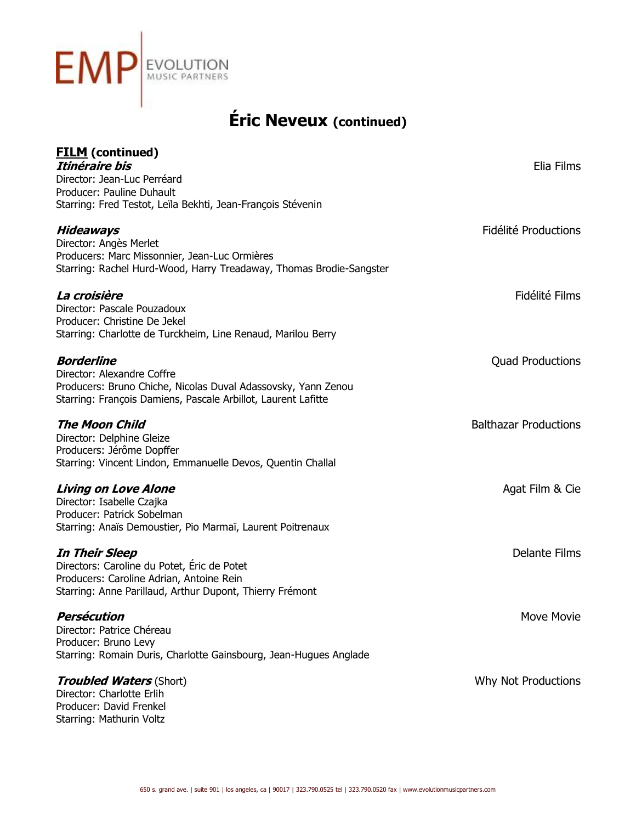

| <b>FILM</b> (continued)                                                                  |                              |
|------------------------------------------------------------------------------------------|------------------------------|
| Itinéraire bis                                                                           | Elia Films                   |
| Director: Jean-Luc Perréard                                                              |                              |
| Producer: Pauline Duhault<br>Starring: Fred Testot, Leïla Bekhti, Jean-François Stévenin |                              |
|                                                                                          |                              |
| Hideaways                                                                                | Fidélité Productions         |
| Director: Angès Merlet                                                                   |                              |
| Producers: Marc Missonnier, Jean-Luc Ormières                                            |                              |
| Starring: Rachel Hurd-Wood, Harry Treadaway, Thomas Brodie-Sangster                      |                              |
|                                                                                          |                              |
| La croisière                                                                             | Fidélité Films               |
| Director: Pascale Pouzadoux<br>Producer: Christine De Jekel                              |                              |
| Starring: Charlotte de Turckheim, Line Renaud, Marilou Berry                             |                              |
|                                                                                          |                              |
| <b>Borderline</b>                                                                        | <b>Quad Productions</b>      |
| Director: Alexandre Coffre                                                               |                              |
| Producers: Bruno Chiche, Nicolas Duval Adassovsky, Yann Zenou                            |                              |
| Starring: François Damiens, Pascale Arbillot, Laurent Lafitte                            |                              |
| <b>The Moon Child</b>                                                                    | <b>Balthazar Productions</b> |
| Director: Delphine Gleize                                                                |                              |
| Producers: Jérôme Dopffer                                                                |                              |
| Starring: Vincent Lindon, Emmanuelle Devos, Quentin Challal                              |                              |
|                                                                                          |                              |
| <b>Living on Love Alone</b>                                                              | Agat Film & Cie              |
| Director: Isabelle Czajka<br>Producer: Patrick Sobelman                                  |                              |
| Starring: Anaïs Demoustier, Pio Marmaï, Laurent Poitrenaux                               |                              |
|                                                                                          |                              |
| <b>In Their Sleep</b>                                                                    | <b>Delante Films</b>         |
| Directors: Caroline du Potet, Eric de Potet                                              |                              |
| Producers: Caroline Adrian, Antoine Rein                                                 |                              |
| Starring: Anne Parillaud, Arthur Dupont, Thierry Frémont                                 |                              |
| <b>Persécution</b>                                                                       | Move Movie                   |
| Director: Patrice Chéreau                                                                |                              |
| Producer: Bruno Levy                                                                     |                              |
| Starring: Romain Duris, Charlotte Gainsbourg, Jean-Hugues Anglade                        |                              |
| <b>Troubled Waters (Short)</b>                                                           | Why Not Productions          |
| Director: Charlotte Erlih                                                                |                              |
| Producer: David Frenkel                                                                  |                              |
| Starring: Mathurin Voltz                                                                 |                              |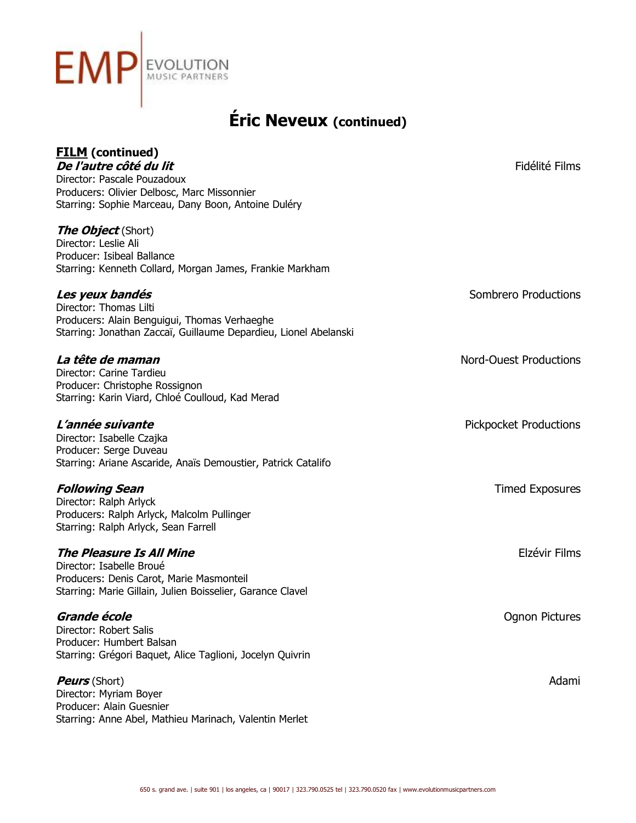

| <b>FILM</b> (continued)<br>De l'autre côté du lit<br>Director: Pascale Pouzadoux<br>Producers: Olivier Delbosc, Marc Missonnier<br>Starring: Sophie Marceau, Dany Boon, Antoine Duléry | Fidélité Films                |
|----------------------------------------------------------------------------------------------------------------------------------------------------------------------------------------|-------------------------------|
| <b>The Object</b> (Short)<br>Director: Leslie Ali<br>Producer: Isibeal Ballance<br>Starring: Kenneth Collard, Morgan James, Frankie Markham                                            |                               |
| Les yeux bandés<br>Director: Thomas Lilti<br>Producers: Alain Benguigui, Thomas Verhaeghe<br>Starring: Jonathan Zaccaï, Guillaume Depardieu, Lionel Abelanski                          | Sombrero Productions          |
| La tête de maman<br>Director: Carine Tardieu<br>Producer: Christophe Rossignon<br>Starring: Karin Viard, Chloé Coulloud, Kad Merad                                                     | <b>Nord-Ouest Productions</b> |
| L'année suivante<br>Director: Isabelle Czajka<br>Producer: Serge Duveau<br>Starring: Ariane Ascaride, Anaïs Demoustier, Patrick Catalifo                                               | <b>Pickpocket Productions</b> |
| <b>Following Sean</b><br>Director: Ralph Arlyck<br>Producers: Ralph Arlyck, Malcolm Pullinger<br>Starring: Ralph Arlyck, Sean Farrell                                                  | <b>Timed Exposures</b>        |
| <b>The Pleasure Is All Mine</b><br>Director: Isabelle Broué<br>Producers: Denis Carot, Marie Masmonteil<br>Starring: Marie Gillain, Julien Boisselier, Garance Clavel                  | Elzévir Films                 |
| Grande école<br>Director: Robert Salis<br>Producer: Humbert Balsan<br>Starring: Grégori Baquet, Alice Taglioni, Jocelyn Quivrin                                                        | Ognon Pictures                |
| <b>Peurs</b> (Short)<br>Director: Myriam Boyer<br>Producer: Alain Guesnier<br>Starring: Anne Abel, Mathieu Marinach, Valentin Merlet                                                   | Adami                         |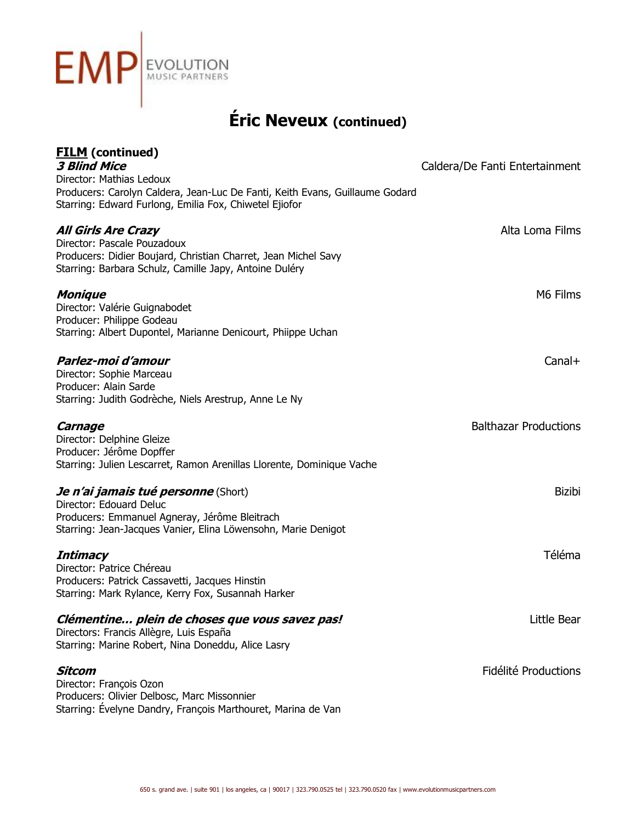

| <b>FILM</b> (continued)<br><b>3 Blind Mice</b><br>Director: Mathias Ledoux<br>Producers: Carolyn Caldera, Jean-Luc De Fanti, Keith Evans, Guillaume Godard<br>Starring: Edward Furlong, Emilia Fox, Chiwetel Ejiofor | Caldera/De Fanti Entertainment |
|----------------------------------------------------------------------------------------------------------------------------------------------------------------------------------------------------------------------|--------------------------------|
| <b>All Girls Are Crazy</b><br>Director: Pascale Pouzadoux<br>Producers: Didier Boujard, Christian Charret, Jean Michel Savy<br>Starring: Barbara Schulz, Camille Japy, Antoine Duléry                                | Alta Loma Films                |
| <b>Monique</b><br>Director: Valérie Guignabodet<br>Producer: Philippe Godeau<br>Starring: Albert Dupontel, Marianne Denicourt, Phiippe Uchan                                                                         | M6 Films                       |
| Parlez-moi d'amour<br>Director: Sophie Marceau<br>Producer: Alain Sarde<br>Starring: Judith Godrèche, Niels Arestrup, Anne Le Ny                                                                                     | $Canal+$                       |
| Carnage<br>Director: Delphine Gleize<br>Producer: Jérôme Dopffer<br>Starring: Julien Lescarret, Ramon Arenillas Llorente, Dominique Vache                                                                            | <b>Balthazar Productions</b>   |
| Je n'ai jamais tué personne (Short)<br>Director: Edouard Deluc<br>Producers: Emmanuel Agneray, Jérôme Bleitrach<br>Starring: Jean-Jacques Vanier, Elina Löwensohn, Marie Denigot                                     | <b>Bizibi</b>                  |
| <b>Intimacy</b><br>Director: Patrice Chéreau<br>Producers: Patrick Cassavetti, Jacques Hinstin<br>Starring: Mark Rylance, Kerry Fox, Susannah Harker                                                                 | Téléma                         |
| Clémentine plein de choses que vous savez pas!<br>Directors: Francis Allègre, Luis España<br>Starring: Marine Robert, Nina Doneddu, Alice Lasry                                                                      | Little Bear                    |
| Sitcom<br>Director: François Ozon<br>Producers: Olivier Delbosc, Marc Missonnier<br>Starring: Évelyne Dandry, François Marthouret, Marina de Van                                                                     | Fidélité Productions           |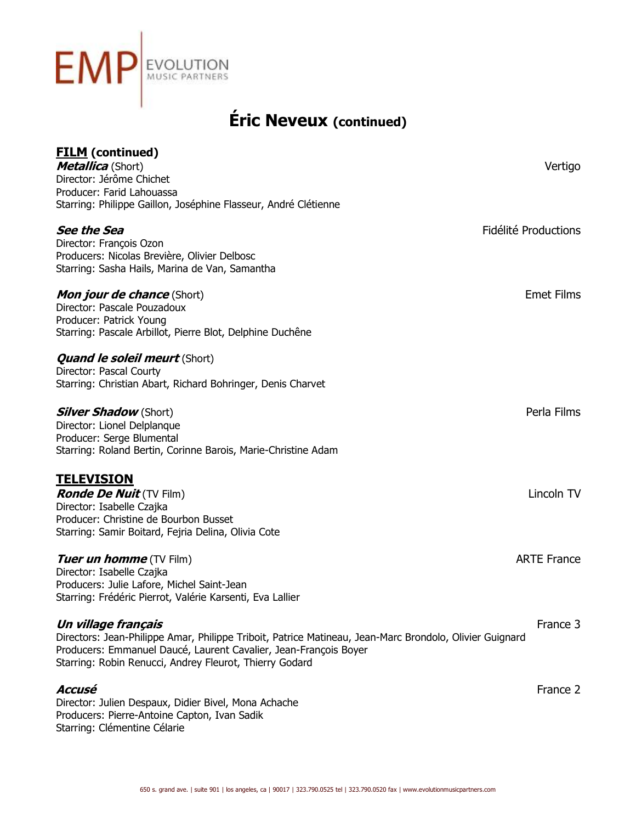

| <b>FILM</b> (continued)<br><b>Metallica</b> (Short)<br>Director: Jérôme Chichet<br>Producer: Farid Lahouassa<br>Starring: Philippe Gaillon, Joséphine Flasseur, André Clétienne                                                                               | Vertigo              |
|---------------------------------------------------------------------------------------------------------------------------------------------------------------------------------------------------------------------------------------------------------------|----------------------|
| <b>See the Sea</b><br>Director: François Ozon<br>Producers: Nicolas Brevière, Olivier Delbosc<br>Starring: Sasha Hails, Marina de Van, Samantha                                                                                                               | Fidélité Productions |
| <b>Mon jour de chance</b> (Short)<br>Director: Pascale Pouzadoux<br>Producer: Patrick Young<br>Starring: Pascale Arbillot, Pierre Blot, Delphine Duchêne                                                                                                      | <b>Emet Films</b>    |
| <b>Quand le soleil meurt</b> (Short)<br>Director: Pascal Courty<br>Starring: Christian Abart, Richard Bohringer, Denis Charvet                                                                                                                                |                      |
| <b>Silver Shadow</b> (Short)<br>Director: Lionel Delplanque<br>Producer: Serge Blumental<br>Starring: Roland Bertin, Corinne Barois, Marie-Christine Adam                                                                                                     | Perla Films          |
| <u>TELEVISION</u><br><b>Ronde De Nuit</b> (TV Film)<br>Director: Isabelle Czajka<br>Producer: Christine de Bourbon Busset<br>Starring: Samir Boitard, Fejria Delina, Olivia Cote                                                                              | Lincoln TV           |
| <b>Tuer un homme</b> (TV Film)<br>Director: Isabelle Czajka<br>Producers: Julie Lafore, Michel Saint-Jean<br>Starring: Frédéric Pierrot, Valérie Karsenti, Eva Lallier                                                                                        | <b>ARTE France</b>   |
| Un village français<br>Directors: Jean-Philippe Amar, Philippe Triboit, Patrice Matineau, Jean-Marc Brondolo, Olivier Guignard<br>Producers: Emmanuel Daucé, Laurent Cavalier, Jean-François Boyer<br>Starring: Robin Renucci, Andrey Fleurot, Thierry Godard | France 3             |
| Accusé<br>Director: Julien Despaux, Didier Bivel, Mona Achache<br>Diama Antoina Canton, Ivan Cadile                                                                                                                                                           | France 2             |

Producers: Pierre-Antoine Capton, Ivan Sadik Starring: Clémentine Célarie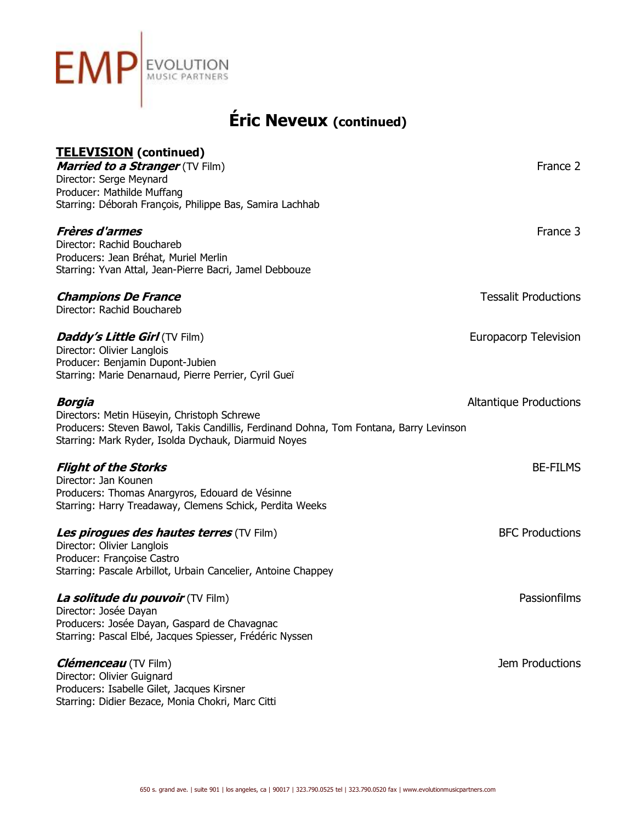

| <b>TELEVISION</b> (continued)                                                                                                                  |                               |
|------------------------------------------------------------------------------------------------------------------------------------------------|-------------------------------|
| <b>Married to a Stranger</b> (TV Film)                                                                                                         | France 2                      |
| Director: Serge Meynard                                                                                                                        |                               |
| Producer: Mathilde Muffang                                                                                                                     |                               |
| Starring: Déborah François, Philippe Bas, Samira Lachhab                                                                                       |                               |
| <b>Frères d'armes</b>                                                                                                                          | France 3                      |
| Director: Rachid Bouchareb                                                                                                                     |                               |
| Producers: Jean Bréhat, Muriel Merlin                                                                                                          |                               |
| Starring: Yvan Attal, Jean-Pierre Bacri, Jamel Debbouze                                                                                        |                               |
| <b>Champions De France</b>                                                                                                                     | <b>Tessalit Productions</b>   |
| Director: Rachid Bouchareb                                                                                                                     |                               |
| <b>Daddy's Little Girl (TV Film)</b>                                                                                                           | <b>Europacorp Television</b>  |
| Director: Olivier Langlois                                                                                                                     |                               |
| Producer: Benjamin Dupont-Jubien                                                                                                               |                               |
| Starring: Marie Denarnaud, Pierre Perrier, Cyril Gueï                                                                                          |                               |
| <b>Borgia</b>                                                                                                                                  | <b>Altantique Productions</b> |
| Directors: Metin Hüseyin, Christoph Schrewe                                                                                                    |                               |
| Producers: Steven Bawol, Takis Candillis, Ferdinand Dohna, Tom Fontana, Barry Levinson<br>Starring: Mark Ryder, Isolda Dychauk, Diarmuid Noyes |                               |
|                                                                                                                                                |                               |
| <b>Flight of the Storks</b>                                                                                                                    | <b>BE-FILMS</b>               |
| Director: Jan Kounen<br>Producers: Thomas Anargyros, Edouard de Vésinne                                                                        |                               |
| Starring: Harry Treadaway, Clemens Schick, Perdita Weeks                                                                                       |                               |
| <b>Les pirogues des hautes terres (TV Film)</b>                                                                                                | <b>BFC Productions</b>        |
| Director: Olivier Langlois                                                                                                                     |                               |
| Producer: Françoise Castro                                                                                                                     |                               |
| Starring: Pascale Arbillot, Urbain Cancelier, Antoine Chappey                                                                                  |                               |
| La solitude du pouvoir (TV Film)                                                                                                               | Passionfilms                  |
| Director: Josée Dayan                                                                                                                          |                               |
| Producers: Josée Dayan, Gaspard de Chavagnac                                                                                                   |                               |
| Starring: Pascal Elbé, Jacques Spiesser, Frédéric Nyssen                                                                                       |                               |
| <b>Clémenceau</b> (TV Film)                                                                                                                    | Jem Productions               |
| Director: Olivier Guignard                                                                                                                     |                               |
| Producers: Isabelle Gilet, Jacques Kirsner                                                                                                     |                               |
| Starring: Didier Bezace, Monia Chokri, Marc Citti                                                                                              |                               |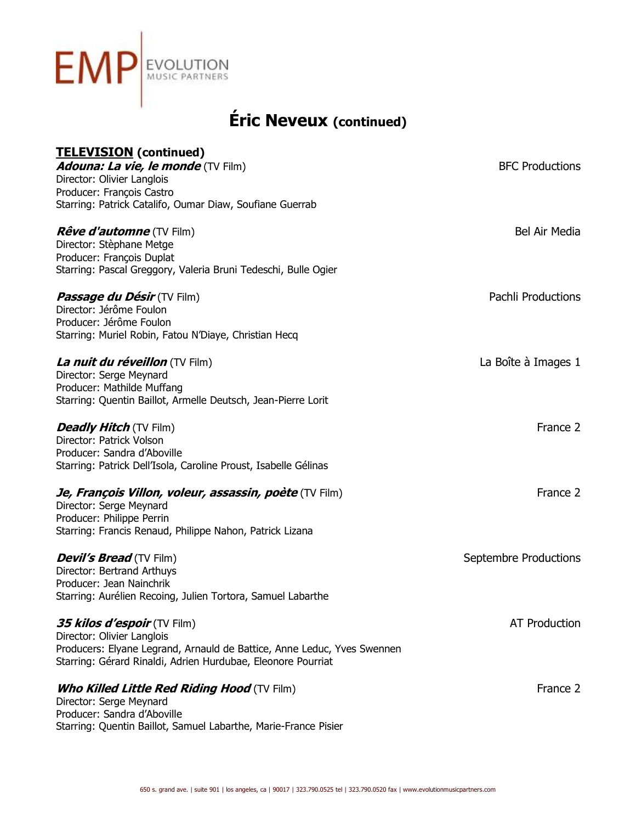

# **Éric Neveux (continued)**

## **TELEVISION (continued) Adouna: La vie, le monde** (TV Film) **BFC** Productions Director: Olivier Langlois Producer: François Castro Starring: Patrick Catalifo, Oumar Diaw, Soufiane Guerrab **Rêve d'automne** (TV Film) **Bel Air Media** Bel Air Media Director: Stèphane Metge Producer: François Duplat Starring: Pascal Greggory, Valeria Bruni Tedeschi, Bulle Ogier **Passage du Désir** (TV Film) **Passage du Désir** (TV Film) Director: Jérôme Foulon Producer: Jérôme Foulon Starring: Muriel Robin, Fatou N'Diaye, Christian Hecq **La nuit du réveillon** (TV Film) **La Boîte à Images 1** Director: Serge Meynard Producer: Mathilde Muffang Starring: Quentin Baillot, Armelle Deutsch, Jean-Pierre Lorit **Deadly Hitch** (TV Film) **France 2 France 2** Director: Patrick Volson Producer: Sandra d'Aboville Starring: Patrick Dell'Isola, Caroline Proust, Isabelle Gélinas *Je, François Villon, voleur, assassin, poète* **(TV Film) France 2 de la france 2 de la france 2 de la france 2 de la france 2 de la france 2 de la france 2 de la france 2 de la france 2 de la france 2 de la france 2 de la** Director: Serge Meynard Producer: Philippe Perrin Starring: Francis Renaud, Philippe Nahon, Patrick Lizana **Devil's Bread** (TV Film) Septembre Productions **Septembre Productions** Director: Bertrand Arthuys Producer: Jean Nainchrik Starring: Aurélien Recoing, Julien Tortora, Samuel Labarthe **35 kilos d'espoir** (TV Film) anno 1922 ann an Company ann an AT Production ann an AT Production Director: Olivier Langlois Producers: Elyane Legrand, Arnauld de Battice, Anne Leduc, Yves Swennen Starring: Gérard Rinaldi, Adrien Hurdubae, Eleonore Pourriat **Who Killed Little Red Riding Hood** (TV Film) **Film and Contain the Containers of the Containers of the Containers of the Containers of the Containers of the Containers of the Containers of the Containers of the Containers** Director: Serge Meynard Producer: Sandra d'Aboville Starring: Quentin Baillot, Samuel Labarthe, Marie-France Pisier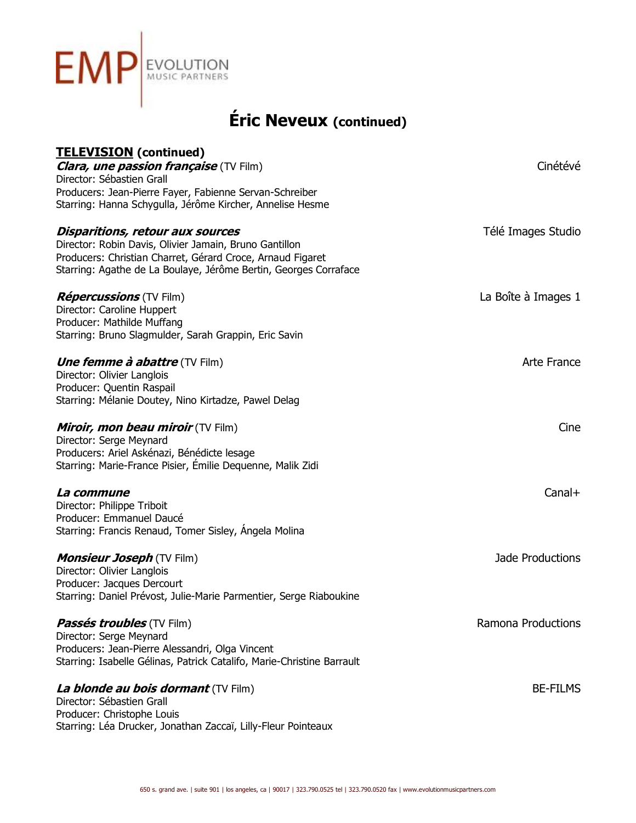

| <b>TELEVISION</b> (continued)                                                                                        |                     |
|----------------------------------------------------------------------------------------------------------------------|---------------------|
| <b>Clara, une passion française</b> (TV Film)                                                                        | Cinétévé            |
| Director: Sébastien Grall                                                                                            |                     |
| Producers: Jean-Pierre Fayer, Fabienne Servan-Schreiber<br>Starring: Hanna Schygulla, Jérôme Kircher, Annelise Hesme |                     |
|                                                                                                                      |                     |
| Disparitions, retour aux sources                                                                                     | Télé Images Studio  |
| Director: Robin Davis, Olivier Jamain, Bruno Gantillon                                                               |                     |
| Producers: Christian Charret, Gérard Croce, Arnaud Figaret                                                           |                     |
| Starring: Agathe de La Boulaye, Jérôme Bertin, Georges Corraface                                                     |                     |
|                                                                                                                      |                     |
| <i>Répercussions</i> (TV Film)                                                                                       | La Boîte à Images 1 |
| Director: Caroline Huppert                                                                                           |                     |
| Producer: Mathilde Muffang                                                                                           |                     |
| Starring: Bruno Slagmulder, Sarah Grappin, Eric Savin                                                                |                     |
| <b><i>Une femme à abattre</i></b> (TV Film)                                                                          | Arte France         |
| Director: Olivier Langlois                                                                                           |                     |
| Producer: Quentin Raspail                                                                                            |                     |
| Starring: Mélanie Doutey, Nino Kirtadze, Pawel Delag                                                                 |                     |
|                                                                                                                      |                     |
| Miroir, mon beau miroir (TV Film)                                                                                    | Cine                |
| Director: Serge Meynard                                                                                              |                     |
| Producers: Ariel Askénazi, Bénédicte lesage                                                                          |                     |
| Starring: Marie-France Pisier, Emilie Dequenne, Malik Zidi                                                           |                     |
|                                                                                                                      |                     |
| La commune                                                                                                           | $Canal+$            |
| Director: Philippe Triboit                                                                                           |                     |
| Producer: Emmanuel Daucé                                                                                             |                     |
| Starring: Francis Renaud, Tomer Sisley, Angela Molina                                                                |                     |
| <b>Monsieur Joseph (TV Film)</b>                                                                                     | Jade Productions    |
| Director: Olivier Langlois                                                                                           |                     |
| Producer: Jacques Dercourt                                                                                           |                     |
| Starring: Daniel Prévost, Julie-Marie Parmentier, Serge Riaboukine                                                   |                     |
|                                                                                                                      |                     |
| <i>Passés troubles</i> (TV Film)                                                                                     | Ramona Productions  |
| Director: Serge Meynard                                                                                              |                     |
| Producers: Jean-Pierre Alessandri, Olga Vincent                                                                      |                     |
| Starring: Isabelle Gélinas, Patrick Catalifo, Marie-Christine Barrault                                               |                     |
|                                                                                                                      |                     |
| La blonde au bois dormant (TV Film)                                                                                  | <b>BE-FILMS</b>     |
| Director: Sébastien Grall                                                                                            |                     |
| Producer: Christophe Louis                                                                                           |                     |
| Starring: Léa Drucker, Jonathan Zaccaï, Lilly-Fleur Pointeaux                                                        |                     |
|                                                                                                                      |                     |